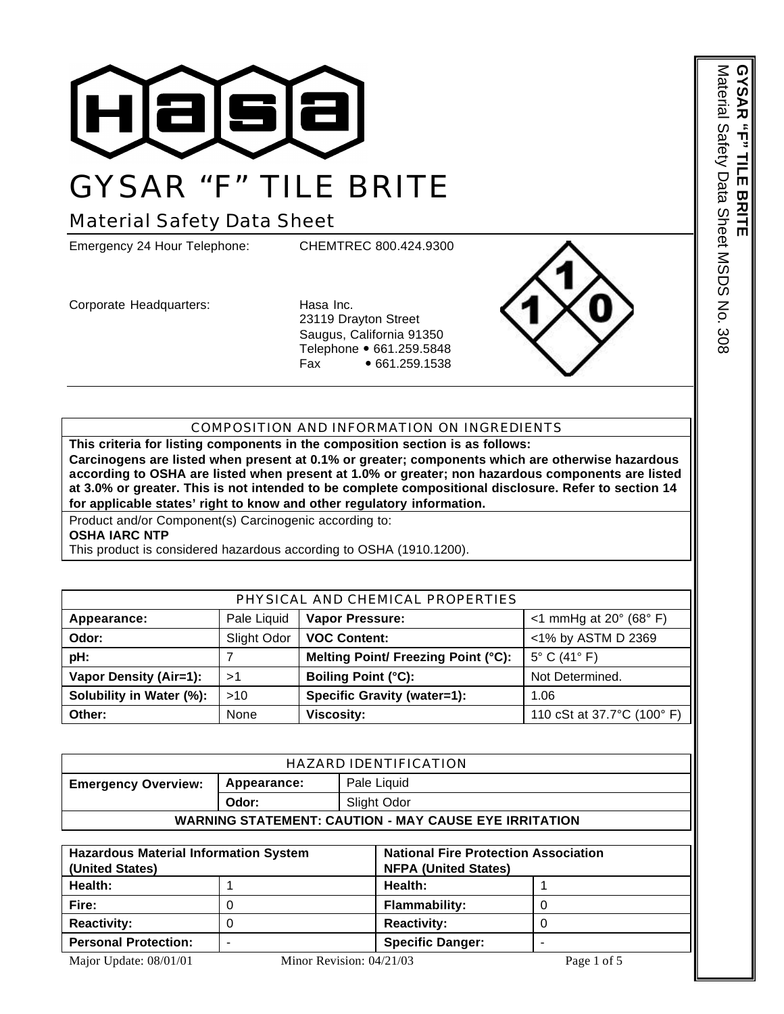

# GYSAR "F" TILE BRITE

## Material Safety Data Sheet

Emergency 24 Hour Telephone: CHEMTREC 800.424.9300

Corporate Headquarters: Hasa Inc.

23119 Drayton Street Saugus, California 91350 Telephone • 661.259.5848 Fax • 661.259.1538



### COMPOSITION AND INFORMATION ON INGREDIENTS

**This criteria for listing components in the composition section is as follows: Carcinogens are listed when present at 0.1% or greater; components which are otherwise hazardous according to OSHA are listed when present at 1.0% or greater; non hazardous components are listed at 3.0% or greater. This is not intended to be complete compositional disclosure. Refer to section 14 for applicable states' right to know and other regulatory information.** 

Product and/or Component(s) Carcinogenic according to: **OSHA IARC NTP**

This product is considered hazardous according to OSHA (1910.1200).

| PHYSICAL AND CHEMICAL PROPERTIES |             |                                     |                                             |
|----------------------------------|-------------|-------------------------------------|---------------------------------------------|
| Appearance:                      | Pale Liquid | <b>Vapor Pressure:</b>              | $<$ 1 mmHg at 20 $\degree$ (68 $\degree$ F) |
| Odor:                            | Slight Odor | <b>VOC Content:</b>                 | <1% by ASTM D 2369                          |
| pH:                              |             | Melting Point/ Freezing Point (°C): | $5^{\circ}$ C (41 $^{\circ}$ F)             |
| <b>Vapor Density (Air=1):</b>    | >1          | <b>Boiling Point (°C):</b>          | Not Determined.                             |
| Solubility in Water (%):         | >10         | Specific Gravity (water=1):<br>1.06 |                                             |
| Other:                           | None        | <b>Viscosity:</b>                   | 110 cSt at 37.7°C (100° F)                  |

| HAZARD IDENTIFICATION                                           |       |             |
|-----------------------------------------------------------------|-------|-------------|
|                                                                 |       |             |
| Pale Liquid<br><b>Appearance:</b><br><b>Emergency Overview:</b> |       |             |
|                                                                 | Odor: | Slight Odor |
| <b>WARNING STATEMENT: CAUTION - MAY CAUSE EYE IRRITATION</b>    |       |             |

| <b>Hazardous Material Information System</b><br>(United States) |                            |                         | <b>National Fire Protection Association</b><br><b>NFPA (United States)</b> |  |
|-----------------------------------------------------------------|----------------------------|-------------------------|----------------------------------------------------------------------------|--|
| Health:                                                         |                            | Health:                 |                                                                            |  |
| Fire:                                                           |                            | <b>Flammability:</b>    |                                                                            |  |
| <b>Reactivity:</b>                                              |                            | <b>Reactivity:</b>      |                                                                            |  |
| <b>Personal Protection:</b>                                     |                            | <b>Specific Danger:</b> |                                                                            |  |
| Major Update: 08/01/01                                          | Minor Revision: $04/21/03$ |                         | Page 1 of 5                                                                |  |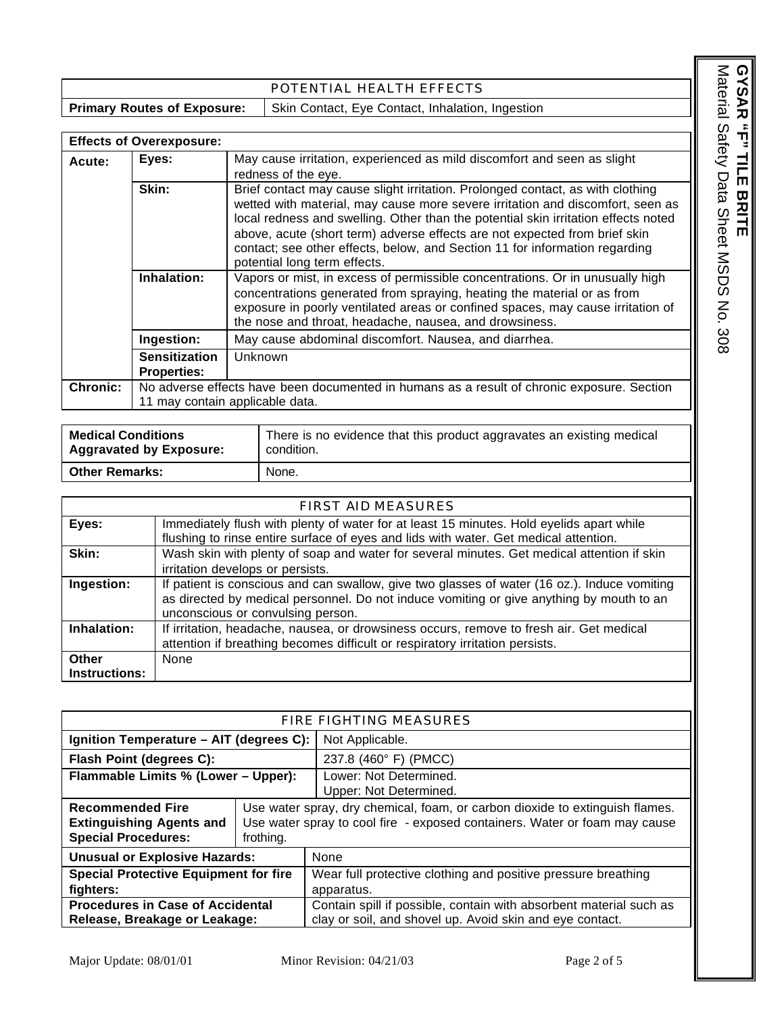**GYSAR** "F" TILE BRITE<br>Material Safety Data Sheet MSDS No. 308 Material Safety Data Sheet MSDS No. 308 **GYSAR "F" TILE BRITE**

POTENTIAL HEALTH EFFECTS

**Primary Routes of Exposure:** Skin Contact, Eye Contact, Inhalation, Ingestion

|                 | <b>Effects of Overexposure:</b>                                                                                               |                                                                                                                                                                                                                                                                                                                                                                                                                                                     |  |  |
|-----------------|-------------------------------------------------------------------------------------------------------------------------------|-----------------------------------------------------------------------------------------------------------------------------------------------------------------------------------------------------------------------------------------------------------------------------------------------------------------------------------------------------------------------------------------------------------------------------------------------------|--|--|
| Acute:          | Eyes:                                                                                                                         | May cause irritation, experienced as mild discomfort and seen as slight<br>redness of the eye.                                                                                                                                                                                                                                                                                                                                                      |  |  |
|                 | Skin:                                                                                                                         | Brief contact may cause slight irritation. Prolonged contact, as with clothing<br>wetted with material, may cause more severe irritation and discomfort, seen as<br>local redness and swelling. Other than the potential skin irritation effects noted<br>above, acute (short term) adverse effects are not expected from brief skin<br>contact; see other effects, below, and Section 11 for information regarding<br>potential long term effects. |  |  |
|                 | Inhalation:                                                                                                                   | Vapors or mist, in excess of permissible concentrations. Or in unusually high<br>concentrations generated from spraying, heating the material or as from<br>exposure in poorly ventilated areas or confined spaces, may cause irritation of<br>the nose and throat, headache, nausea, and drowsiness.                                                                                                                                               |  |  |
|                 | Ingestion:                                                                                                                    | May cause abdominal discomfort. Nausea, and diarrhea.                                                                                                                                                                                                                                                                                                                                                                                               |  |  |
|                 | <b>Sensitization</b>                                                                                                          | Unknown                                                                                                                                                                                                                                                                                                                                                                                                                                             |  |  |
|                 | <b>Properties:</b>                                                                                                            |                                                                                                                                                                                                                                                                                                                                                                                                                                                     |  |  |
| <b>Chronic:</b> | No adverse effects have been documented in humans as a result of chronic exposure. Section<br>11 may contain applicable data. |                                                                                                                                                                                                                                                                                                                                                                                                                                                     |  |  |

| <b>Medical Conditions</b>      | There is no evidence that this product aggravates an existing medical |  |
|--------------------------------|-----------------------------------------------------------------------|--|
| <b>Aggravated by Exposure:</b> | condition.                                                            |  |
| <b>Other Remarks:</b>          | None.                                                                 |  |

|                               | <b>FIRST AID MEASURES</b>                                                                                                                                                                                                     |
|-------------------------------|-------------------------------------------------------------------------------------------------------------------------------------------------------------------------------------------------------------------------------|
| Eyes:                         | Immediately flush with plenty of water for at least 15 minutes. Hold eyelids apart while<br>flushing to rinse entire surface of eyes and lids with water. Get medical attention.                                              |
| Skin:                         | Wash skin with plenty of soap and water for several minutes. Get medical attention if skin<br>irritation develops or persists.                                                                                                |
| Ingestion:                    | If patient is conscious and can swallow, give two glasses of water (16 oz.). Induce vomiting<br>as directed by medical personnel. Do not induce vomiting or give anything by mouth to an<br>unconscious or convulsing person. |
| Inhalation:                   | If irritation, headache, nausea, or drowsiness occurs, remove to fresh air. Get medical<br>attention if breathing becomes difficult or respiratory irritation persists.                                                       |
| Other<br><b>Instructions:</b> | None                                                                                                                                                                                                                          |

| <b>FIRE FIGHTING MEASURES</b>                                                            |                                                                                                                                                                         |                                                                                                                                |
|------------------------------------------------------------------------------------------|-------------------------------------------------------------------------------------------------------------------------------------------------------------------------|--------------------------------------------------------------------------------------------------------------------------------|
| Ignition Temperature - AIT (degrees C):                                                  |                                                                                                                                                                         | Not Applicable.                                                                                                                |
| Flash Point (degrees C):                                                                 |                                                                                                                                                                         | 237.8 (460° F) (PMCC)                                                                                                          |
| Flammable Limits % (Lower - Upper):                                                      |                                                                                                                                                                         | Lower: Not Determined.<br>Upper: Not Determined.                                                                               |
| <b>Recommended Fire</b><br><b>Extinguishing Agents and</b><br><b>Special Procedures:</b> | Use water spray, dry chemical, foam, or carbon dioxide to extinguish flames.<br>Use water spray to cool fire - exposed containers. Water or foam may cause<br>frothing. |                                                                                                                                |
| <b>Unusual or Explosive Hazards:</b>                                                     |                                                                                                                                                                         | None                                                                                                                           |
| <b>Special Protective Equipment for fire</b><br>fighters:                                |                                                                                                                                                                         | Wear full protective clothing and positive pressure breathing<br>apparatus.                                                    |
| <b>Procedures in Case of Accidental</b><br>Release, Breakage or Leakage:                 |                                                                                                                                                                         | Contain spill if possible, contain with absorbent material such as<br>clay or soil, and shovel up. Avoid skin and eye contact. |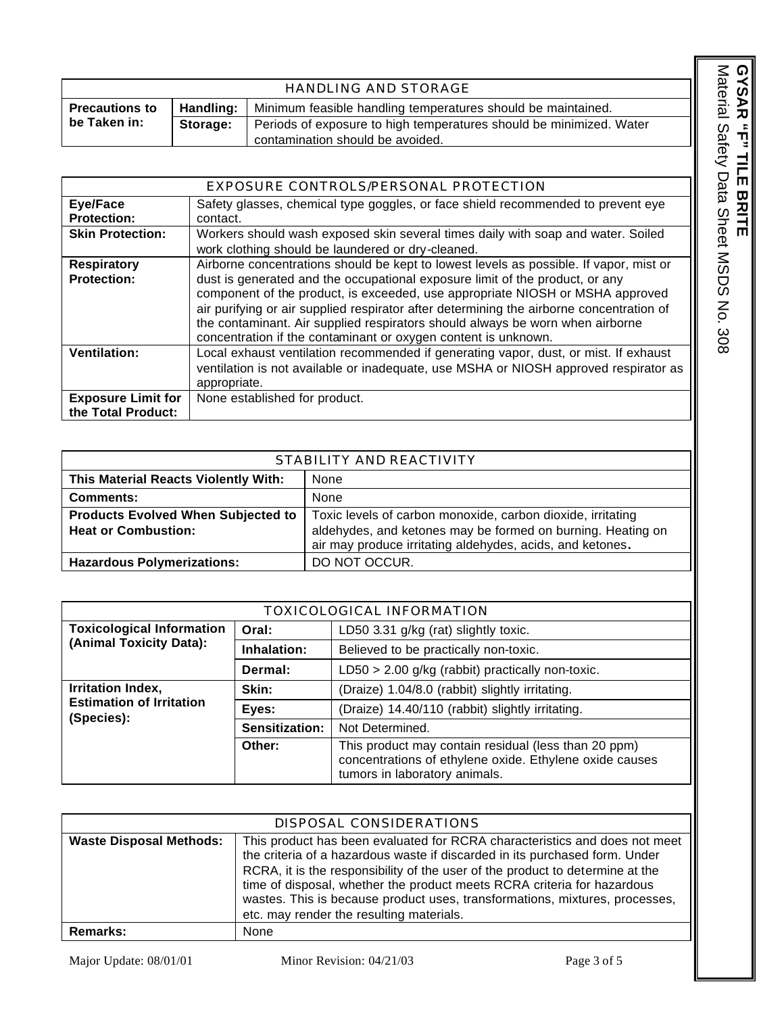| Material Safety Data Sheet MSDS No. 308 | ۱<br>ξ<br>/S<br>ó<br>ĵ<br>コロ<br>ロロラー<br><b>DNNNN</b> |
|-----------------------------------------|------------------------------------------------------|
|-----------------------------------------|------------------------------------------------------|

| HANDLING AND STORAGE                                                                                                                |  |  |
|-------------------------------------------------------------------------------------------------------------------------------------|--|--|
| Minimum feasible handling temperatures should be maintained.<br>Handling:  <br><b>Precautions to</b>                                |  |  |
| be Taken in:<br>Storage:<br>Periods of exposure to high temperatures should be minimized. Water<br>contamination should be avoided. |  |  |
|                                                                                                                                     |  |  |

|                           | EXPOSURE CONTROLS/PERSONAL PROTECTION                                                    |
|---------------------------|------------------------------------------------------------------------------------------|
| Eye/Face                  | Safety glasses, chemical type goggles, or face shield recommended to prevent eve         |
| <b>Protection:</b>        | contact.                                                                                 |
| <b>Skin Protection:</b>   | Workers should wash exposed skin several times daily with soap and water. Soiled         |
|                           | work clothing should be laundered or dry-cleaned.                                        |
| <b>Respiratory</b>        | Airborne concentrations should be kept to lowest levels as possible. If vapor, mist or   |
| <b>Protection:</b>        | dust is generated and the occupational exposure limit of the product, or any             |
|                           | component of the product, is exceeded, use appropriate NIOSH or MSHA approved            |
|                           | air purifying or air supplied respirator after determining the airborne concentration of |
|                           | the contaminant. Air supplied respirators should always be worn when airborne            |
|                           | concentration if the contaminant or oxygen content is unknown.                           |
| <b>Ventilation:</b>       | Local exhaust ventilation recommended if generating vapor, dust, or mist. If exhaust     |
|                           | ventilation is not available or inadequate, use MSHA or NIOSH approved respirator as     |
|                           | appropriate.                                                                             |
| <b>Exposure Limit for</b> | None established for product.                                                            |
| the Total Product:        |                                                                                          |

| STABILITY AND REACTIVITY                                                |                                                                                                                                                                                         |  |
|-------------------------------------------------------------------------|-----------------------------------------------------------------------------------------------------------------------------------------------------------------------------------------|--|
| This Material Reacts Violently With:                                    | None                                                                                                                                                                                    |  |
| <b>Comments:</b>                                                        | None                                                                                                                                                                                    |  |
| <b>Products Evolved When Subjected to</b><br><b>Heat or Combustion:</b> | Toxic levels of carbon monoxide, carbon dioxide, irritating<br>aldehydes, and ketones may be formed on burning. Heating on<br>air may produce irritating aldehydes, acids, and ketones. |  |
| <b>Hazardous Polymerizations:</b>                                       | DO NOT OCCUR.                                                                                                                                                                           |  |

| TOXICOLOGICAL INFORMATION                                          |                |                                                                                                                                                  |
|--------------------------------------------------------------------|----------------|--------------------------------------------------------------------------------------------------------------------------------------------------|
| <b>Toxicological Information</b><br>(Animal Toxicity Data):        | Oral:          | LD50 3.31 g/kg (rat) slightly toxic.                                                                                                             |
|                                                                    | Inhalation:    | Believed to be practically non-toxic.                                                                                                            |
|                                                                    | Dermal:        | $LD50 > 2.00$ g/kg (rabbit) practically non-toxic.                                                                                               |
| Irritation Index,<br><b>Estimation of Irritation</b><br>(Species): | Skin:          | (Draize) 1.04/8.0 (rabbit) slightly irritating.                                                                                                  |
|                                                                    | Eyes:          | (Draize) 14.40/110 (rabbit) slightly irritating.                                                                                                 |
|                                                                    | Sensitization: | Not Determined.                                                                                                                                  |
|                                                                    | Other:         | This product may contain residual (less than 20 ppm)<br>concentrations of ethylene oxide. Ethylene oxide causes<br>tumors in laboratory animals. |

| DISPOSAL CONSIDERATIONS                                                                                                                                                                                                                                                                                                                                                                                                                                                            |      |  |
|------------------------------------------------------------------------------------------------------------------------------------------------------------------------------------------------------------------------------------------------------------------------------------------------------------------------------------------------------------------------------------------------------------------------------------------------------------------------------------|------|--|
| This product has been evaluated for RCRA characteristics and does not meet<br><b>Waste Disposal Methods:</b><br>the criteria of a hazardous waste if discarded in its purchased form. Under<br>RCRA, it is the responsibility of the user of the product to determine at the<br>time of disposal, whether the product meets RCRA criteria for hazardous<br>wastes. This is because product uses, transformations, mixtures, processes,<br>etc. may render the resulting materials. |      |  |
| Remarks:                                                                                                                                                                                                                                                                                                                                                                                                                                                                           | None |  |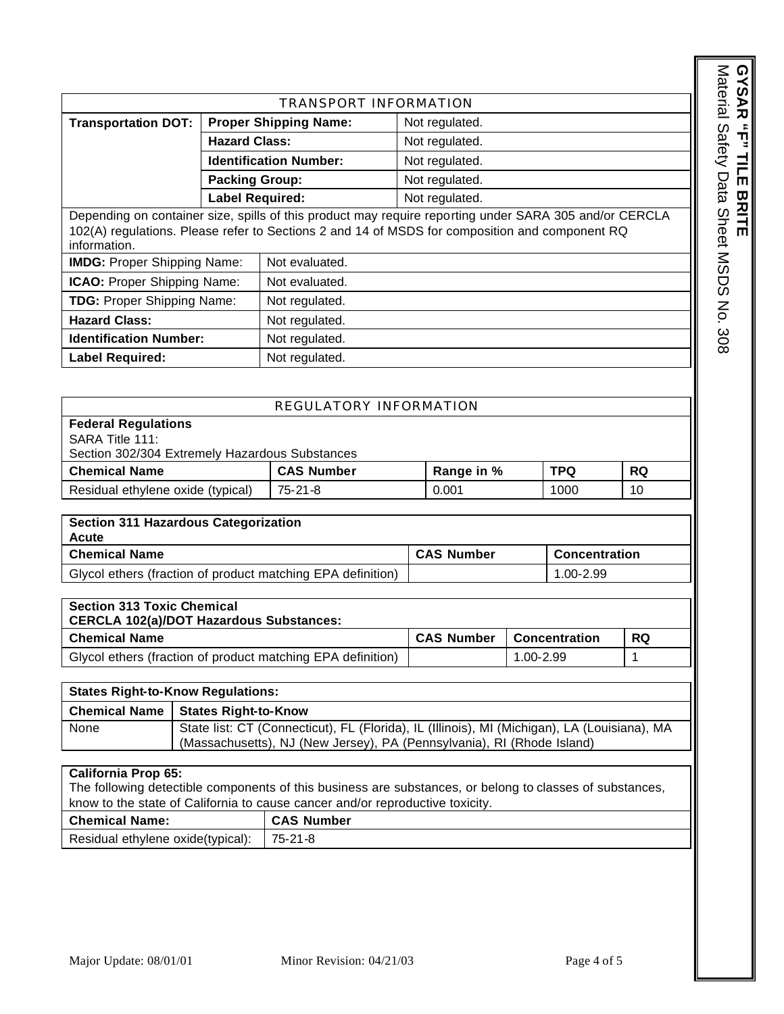Material Safety Data Sheet MSDS No. 308 **GYSAR "F" TILE BRITE** Material Safety Data Sheet MSDS No. 308 **GYSAR "F" TILE BRITE**

| TRANSPORT INFORMATION                                                                                          |                                    |                               |                |
|----------------------------------------------------------------------------------------------------------------|------------------------------------|-------------------------------|----------------|
| <b>Transportation DOT:</b>                                                                                     |                                    | <b>Proper Shipping Name:</b>  | Not regulated. |
|                                                                                                                | <b>Hazard Class:</b>               |                               | Not regulated. |
|                                                                                                                |                                    | <b>Identification Number:</b> | Not regulated. |
|                                                                                                                | <b>Packing Group:</b>              |                               | Not regulated. |
|                                                                                                                | <b>Label Required:</b>             |                               | Not regulated. |
| Depending on container size, spills of this product may require reporting under SARA 305 and/or CERCLA         |                                    |                               |                |
| 102(A) regulations. Please refer to Sections 2 and 14 of MSDS for composition and component RQ<br>information. |                                    |                               |                |
|                                                                                                                |                                    | Not evaluated.                |                |
|                                                                                                                | <b>IMDG:</b> Proper Shipping Name: |                               |                |
| <b>ICAO:</b> Proper Shipping Name:                                                                             |                                    | Not evaluated.                |                |

| <b>ICAO:</b> Proper Shipping Name: | Not evaluated. |
|------------------------------------|----------------|
| <b>TDG: Proper Shipping Name:</b>  | Not regulated. |
| <b>Hazard Class:</b>               | Not regulated. |
| <b>Identification Number:</b>      | Not regulated. |
| <b>Label Required:</b>             | Not regulated. |
|                                    |                |

#### REGULATORY INFORMATION

**Federal Regulations** SARA Title 111:

Section 302/304 Extremely Hazardous Substances

| <b>Chemical Name</b>              | <b>CAS Number</b> | Range in % | <b>TPQ</b> | RQ |
|-----------------------------------|-------------------|------------|------------|----|
| Residual ethylene oxide (typical) | $75-21-8$         | 0.001      | 1000       | 10 |

| Section 311 Hazardous Categorization                        |                   |                      |
|-------------------------------------------------------------|-------------------|----------------------|
| Acute                                                       |                   |                      |
| <b>Chemical Name</b>                                        | <b>CAS Number</b> | <b>Concentration</b> |
| Glycol ethers (fraction of product matching EPA definition) |                   | 1.00-2.99            |

| <b>Section 313 Toxic Chemical</b>                           |                   |                 |    |
|-------------------------------------------------------------|-------------------|-----------------|----|
| <b>CERCLA 102(a)/DOT Hazardous Substances:</b>              |                   |                 |    |
| <b>Chemical Name</b>                                        | <b>CAS Number</b> | l Concentration | RQ |
| Glycol ethers (fraction of product matching EPA definition) |                   | 1.00-2.99       |    |

| <b>States Right-to-Know Regulations:</b> |                                                                                                                                                                        |  |
|------------------------------------------|------------------------------------------------------------------------------------------------------------------------------------------------------------------------|--|
| <b>Chemical Name</b>                     | States Right-to-Know                                                                                                                                                   |  |
| None                                     | State list: CT (Connecticut), FL (Florida), IL (Illinois), MI (Michigan), LA (Louisiana), MA<br>(Massachusetts), NJ (New Jersey), PA (Pennsylvania), RI (Rhode Island) |  |

#### **California Prop 65:**

The following detectible components of this business are substances, or belong to classes of substances, know to the state of California to cause cancer and/or reproductive toxicity. **Chemical Name: CAS Number** Residual ethylene oxide(typical): 75-21-8